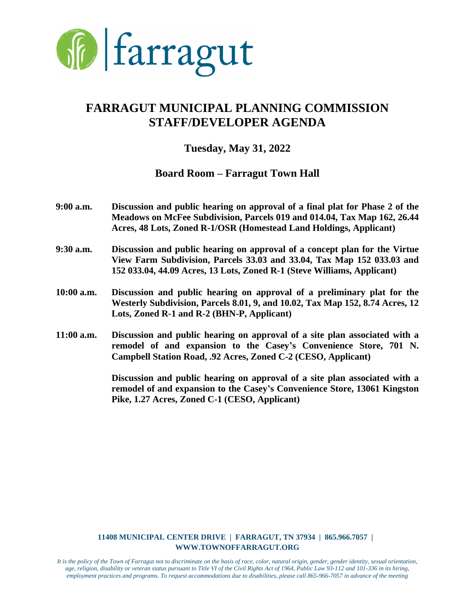

# **FARRAGUT MUNICIPAL PLANNING COMMISSION STAFF/DEVELOPER AGENDA**

## **Tuesday, May 31, 2022**

### **Board Room – Farragut Town Hall**

- **9:00 a.m. Discussion and public hearing on approval of a final plat for Phase 2 of the Meadows on McFee Subdivision, Parcels 019 and 014.04, Tax Map 162, 26.44 Acres, 48 Lots, Zoned R-1/OSR (Homestead Land Holdings, Applicant)**
- **9:30 a.m. Discussion and public hearing on approval of a concept plan for the Virtue View Farm Subdivision, Parcels 33.03 and 33.04, Tax Map 152 033.03 and 152 033.04, 44.09 Acres, 13 Lots, Zoned R-1 (Steve Williams, Applicant)**
- **10:00 a.m. Discussion and public hearing on approval of a preliminary plat for the Westerly Subdivision, Parcels 8.01, 9, and 10.02, Tax Map 152, 8.74 Acres, 12 Lots, Zoned R-1 and R-2 (BHN-P, Applicant)**
- **11:00 a.m. Discussion and public hearing on approval of a site plan associated with a remodel of and expansion to the Casey's Convenience Store, 701 N. Campbell Station Road, .92 Acres, Zoned C-2 (CESO, Applicant)**

**Discussion and public hearing on approval of a site plan associated with a remodel of and expansion to the Casey's Convenience Store, 13061 Kingston Pike, 1.27 Acres, Zoned C-1 (CESO, Applicant)**

#### **11408 MUNICIPAL CENTER DRIVE | FARRAGUT, TN 37934 | 865.966.7057 | WWW.TOWNOFFARRAGUT.ORG**

*It is the policy of the Town of Farragut not to discriminate on the basis of race, color, natural origin, gender, gender identity, sexual orientation, age, religion, disability or veteran status pursuant to Title VI of the Civil Rights Act of 1964, Public Law 93-112 and 101-336 in its hiring, employment practices and programs. To request accommodations due to disabilities, please call 865-966-7057 in advance of the meeting*